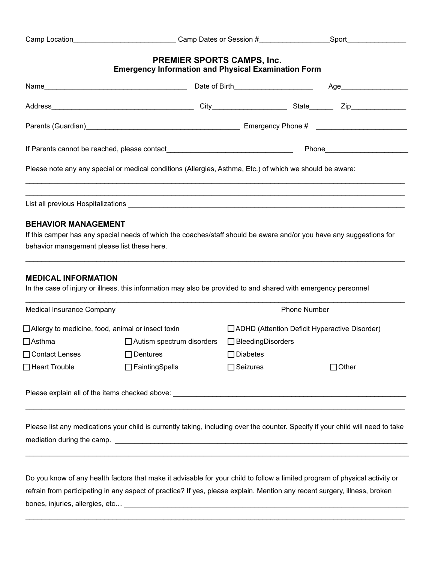|                                             |                                                                                                                     | Date of Birth_________________________               |                     | Age___________________________ |
|---------------------------------------------|---------------------------------------------------------------------------------------------------------------------|------------------------------------------------------|---------------------|--------------------------------|
|                                             |                                                                                                                     |                                                      |                     |                                |
|                                             |                                                                                                                     |                                                      |                     |                                |
|                                             |                                                                                                                     |                                                      |                     |                                |
|                                             | Please note any any special or medical conditions (Allergies, Asthma, Etc.) of which we should be aware:            |                                                      |                     |                                |
|                                             |                                                                                                                     |                                                      |                     |                                |
|                                             | ,我们也不能在这里的人,我们也不能在这里的人,我们也不能在这里的人,我们也不能在这里的人,我们也不能在这里的人,我们也不能在这里的人,我们也不能在这里的人,我们也                                   |                                                      |                     |                                |
| <b>BEHAVIOR MANAGEMENT</b>                  |                                                                                                                     |                                                      |                     |                                |
|                                             | If this camper has any special needs of which the coaches/staff should be aware and/or you have any suggestions for |                                                      |                     |                                |
| behavior management please list these here. |                                                                                                                     |                                                      |                     |                                |
| <b>MEDICAL INFORMATION</b>                  |                                                                                                                     |                                                      |                     |                                |
|                                             | In the case of injury or illness, this information may also be provided to and shared with emergency personnel      |                                                      |                     |                                |
| <b>Medical Insurance Company</b>            |                                                                                                                     |                                                      | <b>Phone Number</b> |                                |
|                                             | $\Box$ Allergy to medicine, food, animal or insect toxin                                                            | $\Box$ ADHD (Attention Deficit Hyperactive Disorder) |                     |                                |
| $\Box$ Asthma                               | $\Box$ Autism spectrum disorders                                                                                    | $\Box$ Bleeding Disorders                            |                     |                                |
|                                             | □ Contact Lenses □ Dentures                                                                                         | $\Box$ Diabetes                                      |                     |                                |

Please list any medications your child is currently taking, including over the counter. Specify if your child will need to take mediation during the camp. \_\_\_\_\_\_\_\_\_\_\_\_\_\_\_\_\_\_\_\_\_\_\_\_\_\_\_\_\_\_\_\_\_\_\_\_\_\_\_\_\_\_\_\_\_\_\_\_\_\_\_\_\_\_\_\_\_\_\_\_\_\_\_\_\_\_\_\_\_\_\_\_\_\_

 $\_$  ,  $\_$  ,  $\_$  ,  $\_$  ,  $\_$  ,  $\_$  ,  $\_$  ,  $\_$  ,  $\_$  ,  $\_$  ,  $\_$  ,  $\_$  ,  $\_$  ,  $\_$  ,  $\_$  ,  $\_$  ,  $\_$  ,  $\_$  ,  $\_$  ,  $\_$  ,  $\_$  ,  $\_$  ,  $\_$  ,  $\_$  ,  $\_$  ,  $\_$  ,  $\_$  ,  $\_$  ,  $\_$  ,  $\_$  ,  $\_$  ,  $\_$  ,  $\_$  ,  $\_$  ,  $\_$  ,  $\_$  ,  $\_$  ,

Do you know of any health factors that make it advisable for your child to follow a limited program of physical activity or refrain from participating in any aspect of practice? If yes, please explain. Mention any recent surgery, illness, broken bones, injuries, allergies, etc… \_\_\_\_\_\_\_\_\_\_\_\_\_\_\_\_\_\_\_\_\_\_\_\_\_\_\_\_\_\_\_\_\_\_\_\_\_\_\_\_\_\_\_\_\_\_\_\_\_\_\_\_\_\_\_\_\_\_\_\_\_\_\_\_\_\_\_\_\_\_\_\_

 $\_$  ,  $\_$  ,  $\_$  ,  $\_$  ,  $\_$  ,  $\_$  ,  $\_$  ,  $\_$  ,  $\_$  ,  $\_$  ,  $\_$  ,  $\_$  ,  $\_$  ,  $\_$  ,  $\_$  ,  $\_$  ,  $\_$  ,  $\_$  ,  $\_$  ,  $\_$  ,  $\_$  ,  $\_$  ,  $\_$  ,  $\_$  ,  $\_$  ,  $\_$  ,  $\_$  ,  $\_$  ,  $\_$  ,  $\_$  ,  $\_$  ,  $\_$  ,  $\_$  ,  $\_$  ,  $\_$  ,  $\_$  ,  $\_$  ,